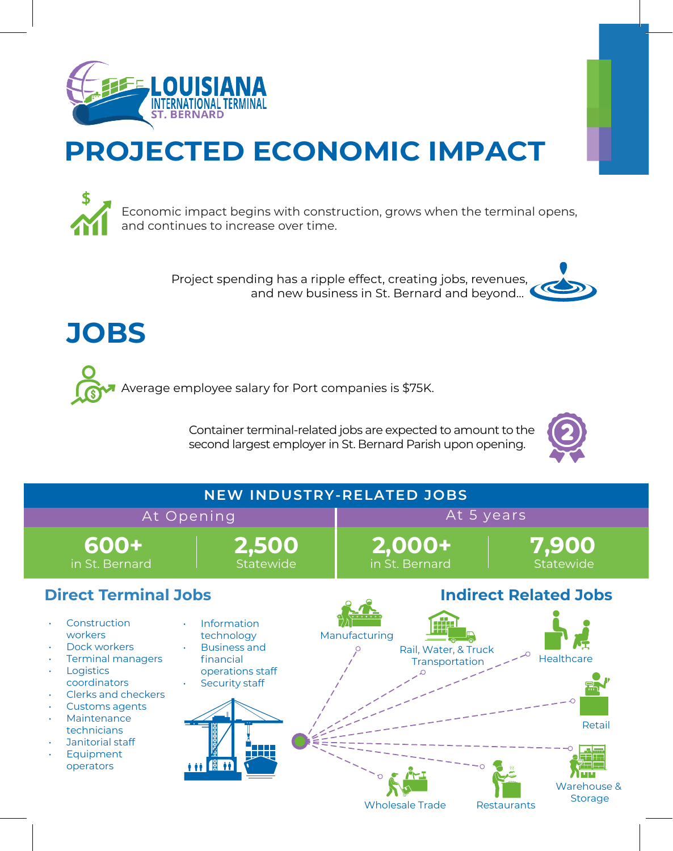

## **PROJECTED ECONOMIC IMPACT**

Economic impact begins with construction, grows when the terminal opens, and continues to increase over time.

> Project spending has a ripple effect, creating jobs, revenues, and new business in St. Bernard and beyond...





Average employee salary for Port companies is \$75K.

Container terminal-related jobs are expected to amount to the second largest employer in St. Bernard Parish upon opening.



| <b>NEW INDUSTRY-RELATED JOBS</b>                                                                                                                                                                                             |                                                                                                           |                                                         |                                                |
|------------------------------------------------------------------------------------------------------------------------------------------------------------------------------------------------------------------------------|-----------------------------------------------------------------------------------------------------------|---------------------------------------------------------|------------------------------------------------|
| At Opening                                                                                                                                                                                                                   |                                                                                                           | At 5 years                                              |                                                |
| 600+<br>in St. Bernard                                                                                                                                                                                                       | 2,500<br>Statewide                                                                                        | 2,000+<br>in St. Bernard                                | 7,900<br>Statewide                             |
| <b>Direct Terminal Jobs</b><br><b>Indirect Related Jobs</b>                                                                                                                                                                  |                                                                                                           |                                                         |                                                |
| Construction<br>workers<br>Dock workers<br><b>Terminal managers</b><br>Logistics<br>coordinators<br>Clerks and checkers<br><b>Customs agents</b><br>Maintenance<br>technicians<br>Janitorial staff<br>Equipment<br>operators | Information<br>technology<br><b>Business and</b><br>financial<br>operations staff<br>Security staff<br>像竹 | Manufacturing<br>Rail, Water, & Truck<br>Transportation | Healthcare<br>Retail<br>Warehouse &<br>Storage |

Wholesale Trade Restaurants